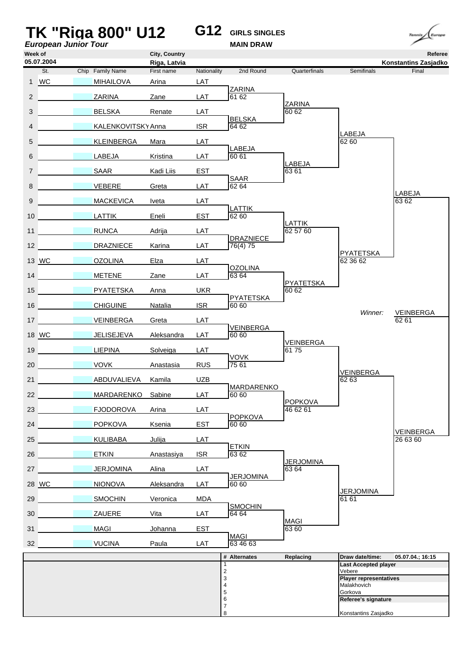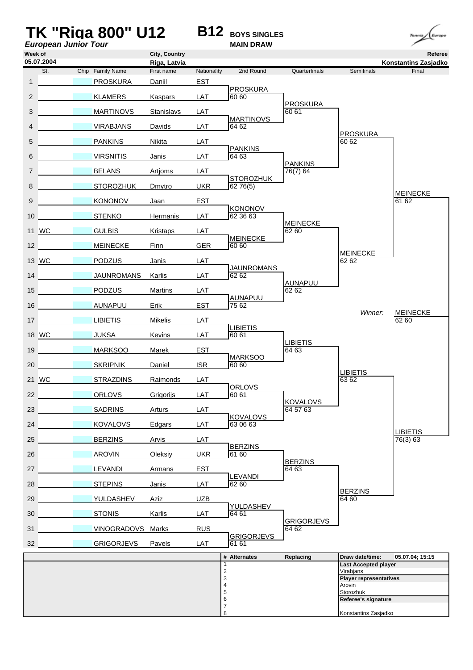| <b>European Junior Tour</b> | <b>TK "Riga 800" U12</b> |                            |             | <b>B12</b> BOYS SINGLES<br><b>MAIN DRAW</b> |                             |                                          | Europe<br>Tennis              |
|-----------------------------|--------------------------|----------------------------|-------------|---------------------------------------------|-----------------------------|------------------------------------------|-------------------------------|
| Week of                     |                          | City, Country              |             |                                             |                             |                                          | Referee                       |
| 05.07.2004<br>St.           | Chip Family Name         | Riga, Latvia<br>First name | Nationality | 2nd Round                                   | Quarterfinals               | Semifinals                               | Konstantins Zasjadko<br>Final |
| $\mathbf{1}$                | <b>PROSKURA</b>          | Daniil                     | <b>EST</b>  |                                             |                             |                                          |                               |
| $\overline{2}$              | <b>KLAMERS</b>           | Kaspars                    | LAT         | <b>PROSKURA</b><br>60 60                    |                             |                                          |                               |
| 3                           | <b>MARTINOVS</b>         | Stanislavs                 | LAT         |                                             | <b>PROSKURA</b><br>60 61    |                                          |                               |
| 4                           | <b>VIRABJANS</b>         | Davids                     | LAT         | <b>MARTINOVS</b><br>64 62                   |                             |                                          |                               |
| 5                           | <b>PANKINS</b>           | Nikita                     | LAT         |                                             |                             | <b>PROSKURA</b><br>60 62                 |                               |
| 6                           | <b>VIRSNITIS</b>         | Janis                      | LAT         | <b>PANKINS</b><br>64 63                     |                             |                                          |                               |
| $\overline{7}$              | <b>BELANS</b>            | Artjoms                    | LAT         |                                             | <b>PANKINS</b><br>76(7) 64  |                                          |                               |
| 8                           | <b>STOROZHUK</b>         | Dmytro                     | <b>UKR</b>  | <b>STOROZHUK</b><br>62 76(5)                |                             |                                          |                               |
| 9                           | <b>KONONOV</b>           | Jaan                       | <b>EST</b>  |                                             |                             |                                          | <b>MEINECKE</b><br>61 62      |
| 10                          | <b>STENKO</b>            | <b>Hermanis</b>            | LAT         | KONONOV<br>62 36 63                         |                             |                                          |                               |
| 11 WC                       | <b>GULBIS</b>            | <b>Kristaps</b>            | LAT         |                                             | <b>MEINECKE</b><br>62 60    |                                          |                               |
| 12                          | <b>MEINECKE</b>          | Finn                       | <b>GER</b>  | <b>MEINECKE</b><br>60 60                    |                             |                                          |                               |
| 13 WC                       | <b>PODZUS</b>            | Janis                      | LAT         |                                             |                             | <b>MEINECKE</b><br>62 62                 |                               |
| 14                          | <b>JAUNROMANS</b>        | Karlis                     | LAT         | <b>JAUNROMANS</b><br>62 62                  |                             |                                          |                               |
| 15                          | <b>PODZUS</b>            | Martins                    | LAT         |                                             | AUNAPUU<br>62 62            |                                          |                               |
| 16                          | AUNAPUU                  | Erik                       | <b>EST</b>  | AUNAPUU<br>75 62                            |                             |                                          |                               |
| 17                          | <b>LIBIETIS</b>          | <b>Mikelis</b>             | LAT         |                                             |                             | Winner:                                  | <b>MEINECKE</b><br>62 60      |
| 18 WC                       | <b>JUKSA</b>             | Kevins                     | LAT         | <b>LIBIETIS</b><br>60 61                    |                             |                                          |                               |
| 19                          | <b>MARKSOO</b>           | Marek                      | <b>EST</b>  |                                             | <b>LIBIETIS</b><br>64 63    |                                          |                               |
| 20                          | <b>SKRIPNIK</b>          | Daniel                     | <b>ISR</b>  | <b>MARKSOO</b><br>60 60                     |                             |                                          |                               |
| 21 WC                       | <b>STRAZDINS</b>         | Raimonds                   | LAT         |                                             |                             | <b>LIBIETIS</b><br>63 62                 |                               |
| 22                          | <b>ORLOVS</b>            | Grigorijs                  | LAT         | ORLOVS<br>60 61                             |                             |                                          |                               |
| 23                          | <b>SADRINS</b>           | <b>Arturs</b>              | LAT         |                                             | <b>KOVALOVS</b><br>64 57 63 |                                          |                               |
| 24                          | <b>KOVALOVS</b>          | Edgars                     | LAT         | <b>KOVALOVS</b><br>63 06 63                 |                             |                                          |                               |
| 25 <sub>2</sub>             | <b>BERZINS</b>           | Arvis                      | LAT         |                                             |                             |                                          | <b>LIBIETIS</b><br>76(3) 63   |
| 26                          | <b>AROVIN</b>            | Oleksiy                    | <b>UKR</b>  | <b>BERZINS</b><br>61 60                     |                             |                                          |                               |
| 27                          | <b>LEVANDI</b>           | Armans                     | <b>EST</b>  |                                             | <b>BERZINS</b><br>64 63     |                                          |                               |
| 28                          | <b>STEPINS</b>           | <b>Janis</b>               | LAT         | LEVANDI<br>62 60                            |                             |                                          |                               |
| 29                          | YULDASHEV                | Aziz                       | <b>UZB</b>  |                                             |                             | <b>BERZINS</b><br>64 60                  |                               |
| 30                          | <b>STONIS</b>            | Karlis                     | LAT         | YULDASHEV<br>64 61                          |                             |                                          |                               |
| 31                          | VINOGRADOVS Marks        |                            | <b>RUS</b>  |                                             | <b>GRIGORJEVS</b><br>64 62  |                                          |                               |
| 32                          |                          |                            | LAT         | <b>GRIGORJEVS</b><br>61 61                  |                             |                                          |                               |
|                             | <b>GRIGORJEVS</b>        | Pavels                     |             | # Alternates                                | Replacing                   | Draw date/time:                          | 05.07.04; 15:15               |
|                             |                          |                            | 1<br>2      |                                             |                             | <b>Last Accepted player</b><br>Virabjans |                               |
|                             |                          |                            | 3<br>4      |                                             |                             | <b>Player representatives</b><br>Arovin  |                               |
|                             |                          |                            | 5<br>6      |                                             |                             | Storozhuk<br>Referee's signature         |                               |
|                             |                          |                            | 7<br>8      |                                             |                             | Konstantins Zasjadko                     |                               |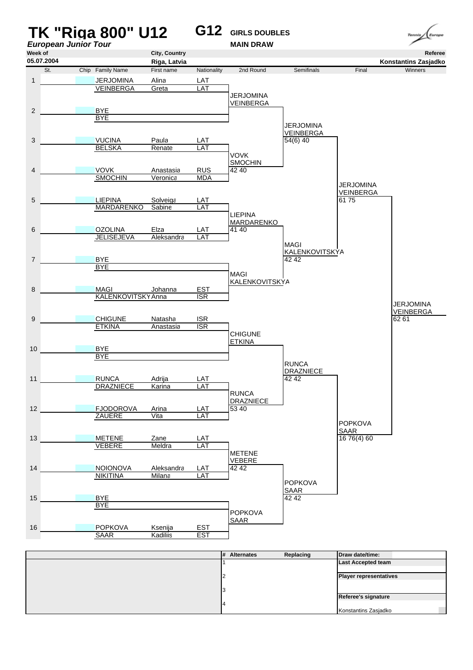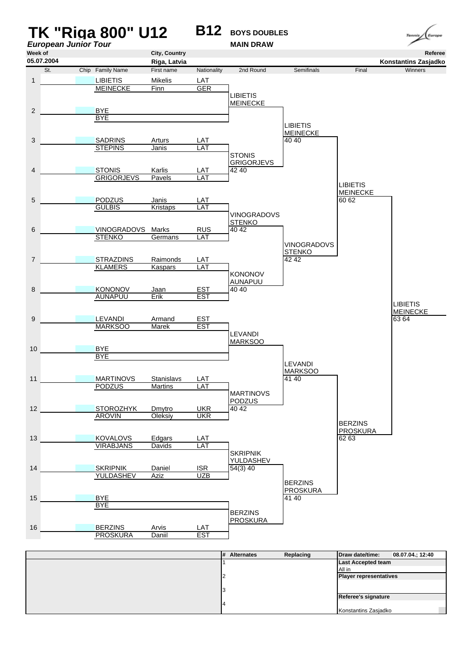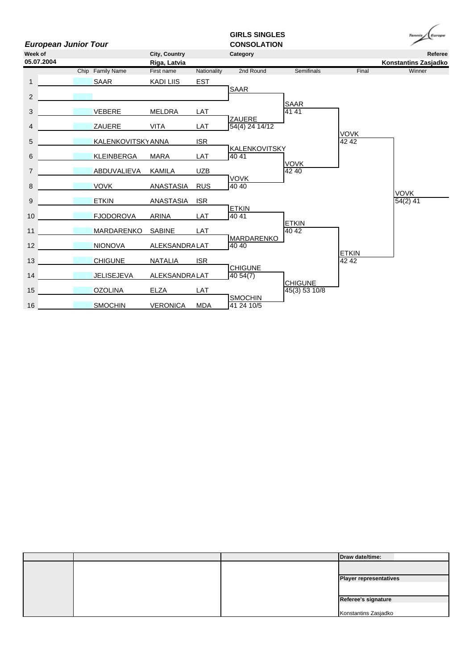

|  | Draw date/time:               |
|--|-------------------------------|
|  |                               |
|  | <b>Player representatives</b> |
|  |                               |
|  | Referee's signature           |
|  | Konstantins Zasjadko          |